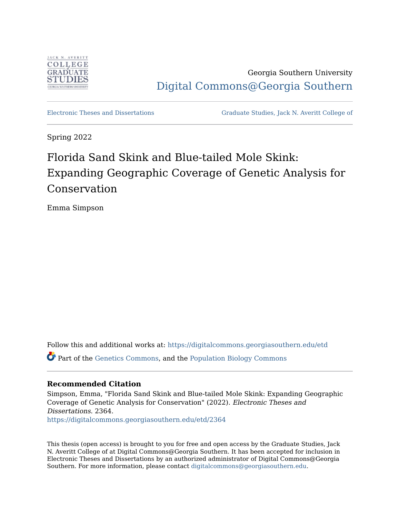

Georgia Southern University [Digital Commons@Georgia Southern](https://digitalcommons.georgiasouthern.edu/) 

[Electronic Theses and Dissertations](https://digitalcommons.georgiasouthern.edu/etd) [Graduate Studies, Jack N. Averitt College of](https://digitalcommons.georgiasouthern.edu/cogs) 

Spring 2022

# Florida Sand Skink and Blue-tailed Mole Skink: Expanding Geographic Coverage of Genetic Analysis for Conservation

Emma Simpson

Follow this and additional works at: [https://digitalcommons.georgiasouthern.edu/etd](https://digitalcommons.georgiasouthern.edu/etd?utm_source=digitalcommons.georgiasouthern.edu%2Fetd%2F2364&utm_medium=PDF&utm_campaign=PDFCoverPages)  Part of the [Genetics Commons,](http://network.bepress.com/hgg/discipline/29?utm_source=digitalcommons.georgiasouthern.edu%2Fetd%2F2364&utm_medium=PDF&utm_campaign=PDFCoverPages) and the [Population Biology Commons](http://network.bepress.com/hgg/discipline/19?utm_source=digitalcommons.georgiasouthern.edu%2Fetd%2F2364&utm_medium=PDF&utm_campaign=PDFCoverPages)

## **Recommended Citation**

Simpson, Emma, "Florida Sand Skink and Blue-tailed Mole Skink: Expanding Geographic Coverage of Genetic Analysis for Conservation" (2022). Electronic Theses and Dissertations. 2364. [https://digitalcommons.georgiasouthern.edu/etd/2364](https://digitalcommons.georgiasouthern.edu/etd/2364?utm_source=digitalcommons.georgiasouthern.edu%2Fetd%2F2364&utm_medium=PDF&utm_campaign=PDFCoverPages) 

This thesis (open access) is brought to you for free and open access by the Graduate Studies, Jack N. Averitt College of at Digital Commons@Georgia Southern. It has been accepted for inclusion in Electronic Theses and Dissertations by an authorized administrator of Digital Commons@Georgia Southern. For more information, please contact [digitalcommons@georgiasouthern.edu](mailto:digitalcommons@georgiasouthern.edu).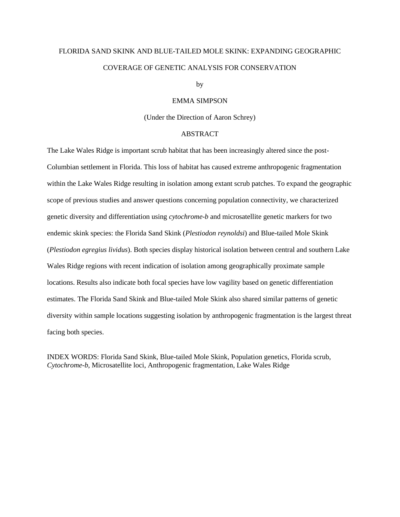## FLORIDA SAND SKINK AND BLUE-TAILED MOLE SKINK: EXPANDING GEOGRAPHIC COVERAGE OF GENETIC ANALYSIS FOR CONSERVATION

by

#### EMMA SIMPSON

(Under the Direction of Aaron Schrey)

#### ABSTRACT

The Lake Wales Ridge is important scrub habitat that has been increasingly altered since the post-Columbian settlement in Florida. This loss of habitat has caused extreme anthropogenic fragmentation within the Lake Wales Ridge resulting in isolation among extant scrub patches. To expand the geographic scope of previous studies and answer questions concerning population connectivity, we characterized genetic diversity and differentiation using *cytochrome-b* and microsatellite genetic markers for two endemic skink species: the Florida Sand Skink (*Plestiodon reynoldsi*) and Blue-tailed Mole Skink (*Plestiodon egregius lividus*). Both species display historical isolation between central and southern Lake Wales Ridge regions with recent indication of isolation among geographically proximate sample locations. Results also indicate both focal species have low vagility based on genetic differentiation estimates. The Florida Sand Skink and Blue-tailed Mole Skink also shared similar patterns of genetic diversity within sample locations suggesting isolation by anthropogenic fragmentation is the largest threat facing both species.

INDEX WORDS: Florida Sand Skink, Blue-tailed Mole Skink, Population genetics, Florida scrub, *Cytochrome-b*, Microsatellite loci, Anthropogenic fragmentation, Lake Wales Ridge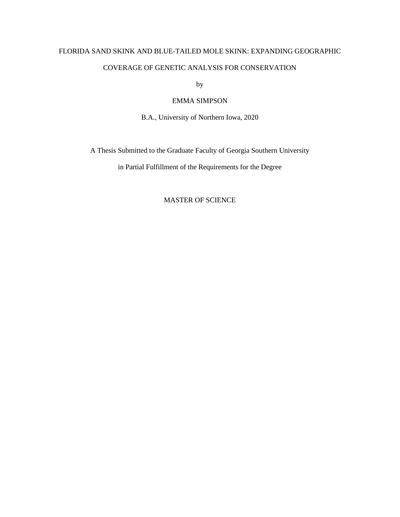## FLORIDA SAND SKINK AND BLUE-TAILED MOLE SKINK: EXPANDING GEOGRAPHIC

## COVERAGE OF GENETIC ANALYSIS FOR CONSERVATION

by

### EMMA SIMPSON

B.A., University of Northern Iowa, 2020

A Thesis Submitted to the Graduate Faculty of Georgia Southern University

in Partial Fulfillment of the Requirements for the Degree

## MASTER OF SCIENCE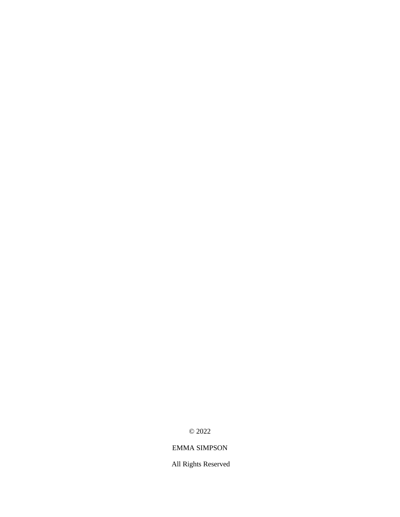© 2022

## EMMA SIMPSON

All Rights Reserved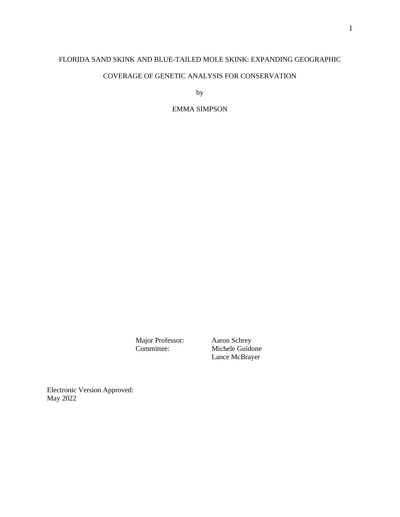## FLORIDA SAND SKINK AND BLUE-TAILED MOLE SKINK: EXPANDING GEOGRAPHIC COVERAGE OF GENETIC ANALYSIS FOR CONSERVATION

by

EMMA SIMPSON

Major Professor: Aaron Schrey<br>Committee: Michele Guido

Michele Guidone Lance McBrayer

Electronic Version Approved: May 2022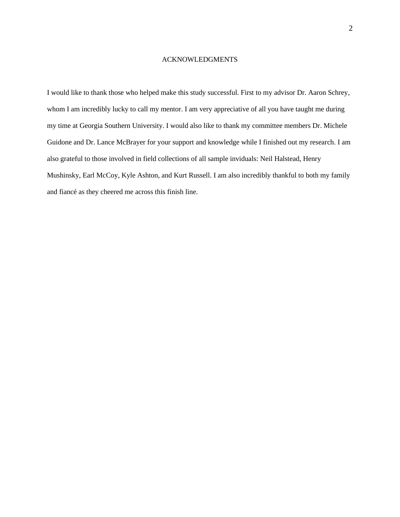#### ACKNOWLEDGMENTS

I would like to thank those who helped make this study successful. First to my advisor Dr. Aaron Schrey, whom I am incredibly lucky to call my mentor. I am very appreciative of all you have taught me during my time at Georgia Southern University. I would also like to thank my committee members Dr. Michele Guidone and Dr. Lance McBrayer for your support and knowledge while I finished out my research. I am also grateful to those involved in field collections of all sample inviduals: Neil Halstead, Henry Mushinsky, Earl McCoy, Kyle Ashton, and Kurt Russell. I am also incredibly thankful to both my family and fiancé as they cheered me across this finish line.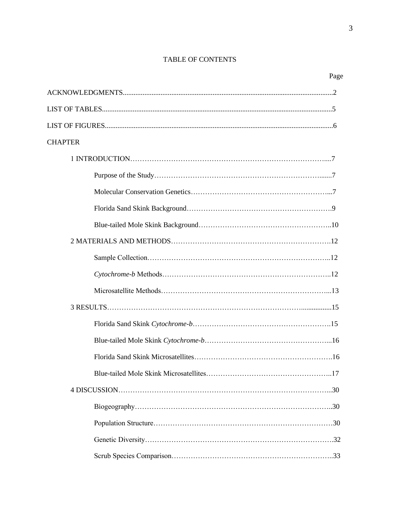## TABLE OF CONTENTS

3

| <b>CHAPTER</b> |  |
|----------------|--|
|                |  |
|                |  |
|                |  |
|                |  |
|                |  |
|                |  |
|                |  |
|                |  |
|                |  |
|                |  |
|                |  |
|                |  |
|                |  |
|                |  |
|                |  |
|                |  |
|                |  |
|                |  |
|                |  |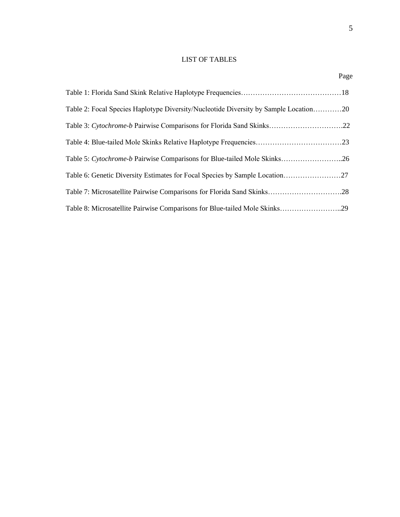## LIST OF TABLES

Page **Page** 

| Table 2: Focal Species Haplotype Diversity/Nucleotide Diversity by Sample Location20 |  |
|--------------------------------------------------------------------------------------|--|
| Table 3: Cytochrome-b Pairwise Comparisons for Florida Sand Skinks22                 |  |
|                                                                                      |  |
| Table 5: Cytochrome-b Pairwise Comparisons for Blue-tailed Mole Skinks26             |  |
| Table 6: Genetic Diversity Estimates for Focal Species by Sample Location27          |  |
| Table 7: Microsatellite Pairwise Comparisons for Florida Sand Skinks28               |  |
| Table 8: Microsatellite Pairwise Comparisons for Blue-tailed Mole Skinks29           |  |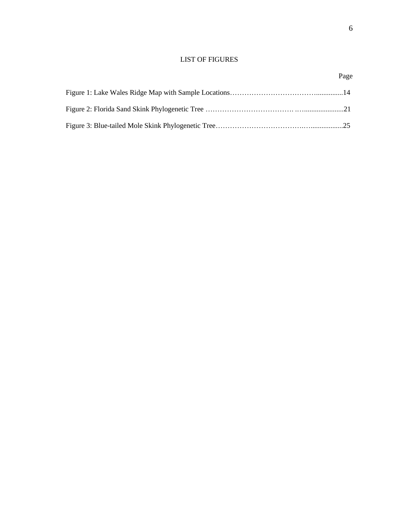## LIST OF FIGURES

6

## Page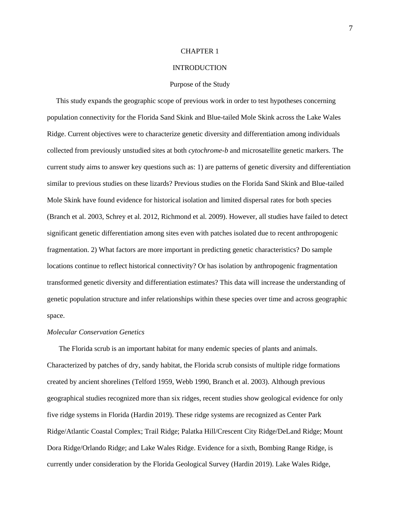#### CHAPTER 1

#### INTRODUCTION

#### Purpose of the Study

This study expands the geographic scope of previous work in order to test hypotheses concerning population connectivity for the Florida Sand Skink and Blue-tailed Mole Skink across the Lake Wales Ridge. Current objectives were to characterize genetic diversity and differentiation among individuals collected from previously unstudied sites at both *cytochrome-b* and microsatellite genetic markers. The current study aims to answer key questions such as: 1) are patterns of genetic diversity and differentiation similar to previous studies on these lizards? Previous studies on the Florida Sand Skink and Blue-tailed Mole Skink have found evidence for historical isolation and limited dispersal rates for both species (Branch et al. 2003, Schrey et al. 2012, Richmond et al. 2009). However, all studies have failed to detect significant genetic differentiation among sites even with patches isolated due to recent anthropogenic fragmentation. 2) What factors are more important in predicting genetic characteristics? Do sample locations continue to reflect historical connectivity? Or has isolation by anthropogenic fragmentation transformed genetic diversity and differentiation estimates? This data will increase the understanding of genetic population structure and infer relationships within these species over time and across geographic space.

#### *Molecular Conservation Genetics*

The Florida scrub is an important habitat for many endemic species of plants and animals. Characterized by patches of dry, sandy habitat, the Florida scrub consists of multiple ridge formations created by ancient shorelines (Telford 1959, Webb 1990, Branch et al. 2003). Although previous geographical studies recognized more than six ridges, recent studies show geological evidence for only five ridge systems in Florida (Hardin 2019). These ridge systems are recognized as Center Park Ridge/Atlantic Coastal Complex; Trail Ridge; Palatka Hill/Crescent City Ridge/DeLand Ridge; Mount Dora Ridge/Orlando Ridge; and Lake Wales Ridge. Evidence for a sixth, Bombing Range Ridge, is currently under consideration by the Florida Geological Survey (Hardin 2019). Lake Wales Ridge,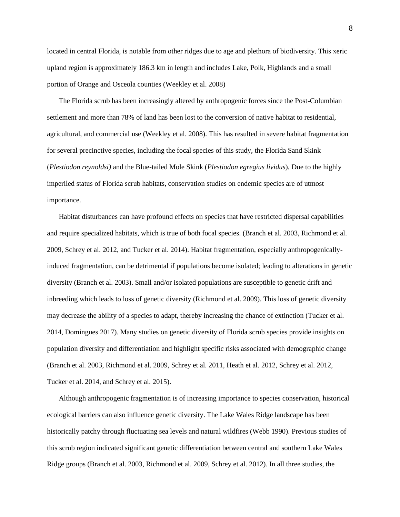located in central Florida, is notable from other ridges due to age and plethora of biodiversity. This xeric upland region is approximately 186.3 km in length and includes Lake, Polk, Highlands and a small portion of Orange and Osceola counties (Weekley et al. 2008)

The Florida scrub has been increasingly altered by anthropogenic forces since the Post-Columbian settlement and more than 78% of land has been lost to the conversion of native habitat to residential, agricultural, and commercial use (Weekley et al. 2008). This has resulted in severe habitat fragmentation for several precinctive species, including the focal species of this study, the Florida Sand Skink (*Plestiodon reynoldsi)* and the Blue-tailed Mole Skink (*Plestiodon egregius lividus*)*.* Due to the highly imperiled status of Florida scrub habitats, conservation studies on endemic species are of utmost importance.

Habitat disturbances can have profound effects on species that have restricted dispersal capabilities and require specialized habitats, which is true of both focal species. (Branch et al. 2003, Richmond et al. 2009, Schrey et al. 2012, and Tucker et al. 2014). Habitat fragmentation, especially anthropogenicallyinduced fragmentation, can be detrimental if populations become isolated; leading to alterations in genetic diversity (Branch et al. 2003). Small and/or isolated populations are susceptible to genetic drift and inbreeding which leads to loss of genetic diversity (Richmond et al. 2009). This loss of genetic diversity may decrease the ability of a species to adapt, thereby increasing the chance of extinction (Tucker et al. 2014, Domingues 2017). Many studies on genetic diversity of Florida scrub species provide insights on population diversity and differentiation and highlight specific risks associated with demographic change (Branch et al. 2003, Richmond et al. 2009, Schrey et al. 2011, Heath et al. 2012, Schrey et al. 2012, Tucker et al. 2014, and Schrey et al. 2015).

Although anthropogenic fragmentation is of increasing importance to species conservation, historical ecological barriers can also influence genetic diversity. The Lake Wales Ridge landscape has been historically patchy through fluctuating sea levels and natural wildfires (Webb 1990). Previous studies of this scrub region indicated significant genetic differentiation between central and southern Lake Wales Ridge groups (Branch et al. 2003, Richmond et al. 2009, Schrey et al. 2012). In all three studies, the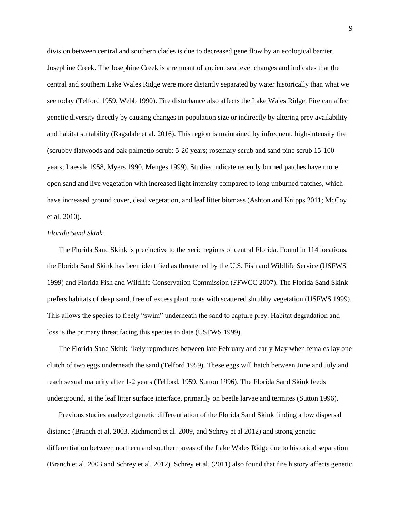division between central and southern clades is due to decreased gene flow by an ecological barrier, Josephine Creek. The Josephine Creek is a remnant of ancient sea level changes and indicates that the central and southern Lake Wales Ridge were more distantly separated by water historically than what we see today (Telford 1959, Webb 1990). Fire disturbance also affects the Lake Wales Ridge. Fire can affect genetic diversity directly by causing changes in population size or indirectly by altering prey availability and habitat suitability (Ragsdale et al. 2016). This region is maintained by infrequent, high-intensity fire (scrubby flatwoods and oak-palmetto scrub: 5-20 years; rosemary scrub and sand pine scrub 15-100 years; Laessle 1958, Myers 1990, Menges 1999). Studies indicate recently burned patches have more open sand and live vegetation with increased light intensity compared to long unburned patches, which have increased ground cover, dead vegetation, and leaf litter biomass (Ashton and Knipps 2011; McCoy et al. 2010).

#### *Florida Sand Skink*

The Florida Sand Skink is precinctive to the xeric regions of central Florida. Found in 114 locations, the Florida Sand Skink has been identified as threatened by the U.S. Fish and Wildlife Service (USFWS 1999) and Florida Fish and Wildlife Conservation Commission (FFWCC 2007). The Florida Sand Skink prefers habitats of deep sand, free of excess plant roots with scattered shrubby vegetation (USFWS 1999). This allows the species to freely "swim" underneath the sand to capture prey. Habitat degradation and loss is the primary threat facing this species to date (USFWS 1999).

The Florida Sand Skink likely reproduces between late February and early May when females lay one clutch of two eggs underneath the sand (Telford 1959). These eggs will hatch between June and July and reach sexual maturity after 1-2 years (Telford, 1959, Sutton 1996). The Florida Sand Skink feeds underground, at the leaf litter surface interface, primarily on beetle larvae and termites (Sutton 1996).

Previous studies analyzed genetic differentiation of the Florida Sand Skink finding a low dispersal distance (Branch et al. 2003, Richmond et al. 2009, and Schrey et al 2012) and strong genetic differentiation between northern and southern areas of the Lake Wales Ridge due to historical separation (Branch et al. 2003 and Schrey et al. 2012). Schrey et al. (2011) also found that fire history affects genetic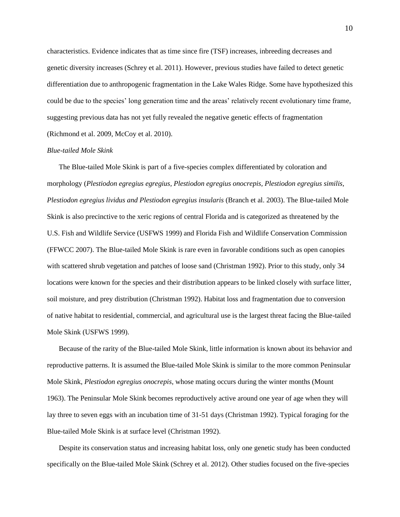characteristics. Evidence indicates that as time since fire (TSF) increases, inbreeding decreases and genetic diversity increases (Schrey et al. 2011). However, previous studies have failed to detect genetic differentiation due to anthropogenic fragmentation in the Lake Wales Ridge. Some have hypothesized this could be due to the species' long generation time and the areas' relatively recent evolutionary time frame, suggesting previous data has not yet fully revealed the negative genetic effects of fragmentation (Richmond et al. 2009, McCoy et al. 2010).

#### *Blue-tailed Mole Skink*

The Blue-tailed Mole Skink is part of a five-species complex differentiated by coloration and morphology (*Plestiodon egregius egregius, Plestiodon egregius onocrepis, Plestiodon egregius similis, Plestiodon egregius lividus and Plestiodon egregius insularis* (Branch et al. 2003). The Blue-tailed Mole Skink is also precinctive to the xeric regions of central Florida and is categorized as threatened by the U.S. Fish and Wildlife Service (USFWS 1999) and Florida Fish and Wildlife Conservation Commission (FFWCC 2007). The Blue-tailed Mole Skink is rare even in favorable conditions such as open canopies with scattered shrub vegetation and patches of loose sand (Christman 1992). Prior to this study, only 34 locations were known for the species and their distribution appears to be linked closely with surface litter, soil moisture, and prey distribution (Christman 1992). Habitat loss and fragmentation due to conversion of native habitat to residential, commercial, and agricultural use is the largest threat facing the Blue-tailed Mole Skink (USFWS 1999).

Because of the rarity of the Blue-tailed Mole Skink, little information is known about its behavior and reproductive patterns. It is assumed the Blue-tailed Mole Skink is similar to the more common Peninsular Mole Skink, *Plestiodon egregius onocrepis*, whose mating occurs during the winter months (Mount 1963). The Peninsular Mole Skink becomes reproductively active around one year of age when they will lay three to seven eggs with an incubation time of 31-51 days (Christman 1992). Typical foraging for the Blue-tailed Mole Skink is at surface level (Christman 1992).

Despite its conservation status and increasing habitat loss, only one genetic study has been conducted specifically on the Blue-tailed Mole Skink (Schrey et al. 2012). Other studies focused on the five-species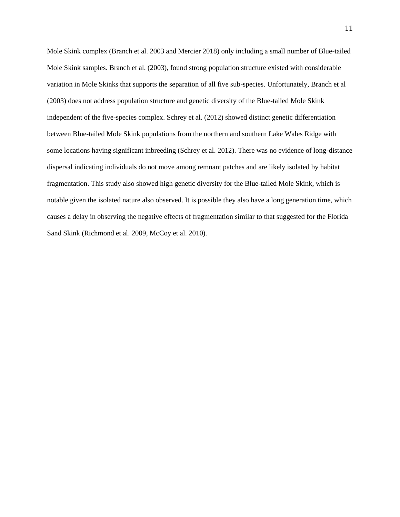Mole Skink complex (Branch et al. 2003 and Mercier 2018) only including a small number of Blue-tailed Mole Skink samples. Branch et al. (2003), found strong population structure existed with considerable variation in Mole Skinks that supports the separation of all five sub-species. Unfortunately, Branch et al (2003) does not address population structure and genetic diversity of the Blue-tailed Mole Skink independent of the five-species complex. Schrey et al. (2012) showed distinct genetic differentiation between Blue-tailed Mole Skink populations from the northern and southern Lake Wales Ridge with some locations having significant inbreeding (Schrey et al. 2012). There was no evidence of long-distance dispersal indicating individuals do not move among remnant patches and are likely isolated by habitat fragmentation. This study also showed high genetic diversity for the Blue-tailed Mole Skink, which is notable given the isolated nature also observed. It is possible they also have a long generation time, which causes a delay in observing the negative effects of fragmentation similar to that suggested for the Florida Sand Skink (Richmond et al. 2009, McCoy et al. 2010).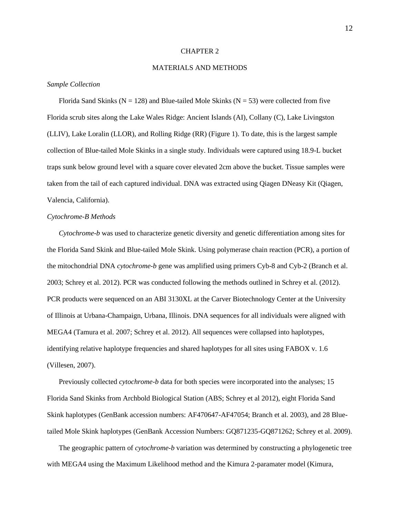#### CHAPTER 2

#### MATERIALS AND METHODS

#### *Sample Collection*

Florida Sand Skinks ( $N = 128$ ) and Blue-tailed Mole Skinks ( $N = 53$ ) were collected from five Florida scrub sites along the Lake Wales Ridge: Ancient Islands (AI), Collany (C), Lake Livingston (LLIV), Lake Loralin (LLOR), and Rolling Ridge (RR) (Figure 1). To date, this is the largest sample collection of Blue-tailed Mole Skinks in a single study. Individuals were captured using 18.9-L bucket traps sunk below ground level with a square cover elevated 2cm above the bucket. Tissue samples were taken from the tail of each captured individual. DNA was extracted using Qiagen DNeasy Kit (Qiagen, Valencia, California).

#### *Cytochrome-B Methods*

*Cytochrome-b* was used to characterize genetic diversity and genetic differentiation among sites for the Florida Sand Skink and Blue-tailed Mole Skink. Using polymerase chain reaction (PCR), a portion of the mitochondrial DNA *cytochrome-b* gene was amplified using primers Cyb-8 and Cyb-2 (Branch et al. 2003; Schrey et al. 2012). PCR was conducted following the methods outlined in Schrey et al. (2012). PCR products were sequenced on an ABI 3130XL at the Carver Biotechnology Center at the University of Illinois at Urbana-Champaign, Urbana, Illinois. DNA sequences for all individuals were aligned with MEGA4 (Tamura et al. 2007; Schrey et al. 2012). All sequences were collapsed into haplotypes, identifying relative haplotype frequencies and shared haplotypes for all sites using FABOX v. 1.6 (Villesen, 2007).

Previously collected *cytochrome-b* data for both species were incorporated into the analyses; 15 Florida Sand Skinks from Archbold Biological Station (ABS; Schrey et al 2012), eight Florida Sand Skink haplotypes (GenBank accession numbers: AF470647-AF47054; Branch et al. 2003), and 28 Bluetailed Mole Skink haplotypes (GenBank Accession Numbers: GQ871235-GQ871262; Schrey et al. 2009).

The geographic pattern of *cytochrome-b* variation was determined by constructing a phylogenetic tree with MEGA4 using the Maximum Likelihood method and the Kimura 2-paramater model (Kimura,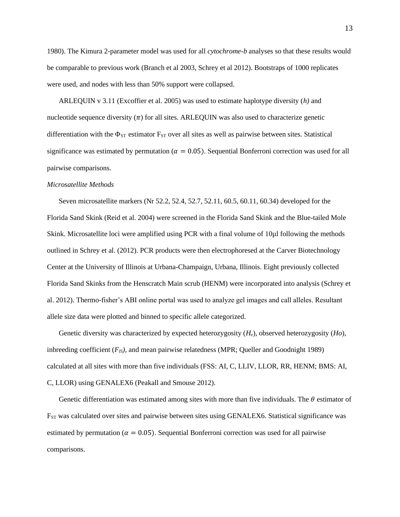1980). The Kimura 2-parameter model was used for all *cytochrome-b* analyses so that these results would be comparable to previous work (Branch et al 2003, Schrey et al 2012). Bootstraps of 1000 replicates were used, and nodes with less than 50% support were collapsed.

ARLEQUIN v 3.11 (Excoffier et al. 2005) was used to estimate haplotype diversity (*h)* and nucleotide sequence diversity  $(\pi)$  for all sites. ARLEQUIN was also used to characterize genetic differentiation with the  $\Phi_{ST}$  estimator  $F_{ST}$  over all sites as well as pairwise between sites. Statistical significance was estimated by permutation ( $\alpha = 0.05$ ). Sequential Bonferroni correction was used for all pairwise comparisons.

#### *Microsatellite Methods*

Seven microsatellite markers (Nr 52.2, 52.4, 52.7, 52.11, 60.5, 60.11, 60.34) developed for the Florida Sand Skink (Reid et al. 2004) were screened in the Florida Sand Skink and the Blue-tailed Mole Skink. Microsatellite loci were amplified using PCR with a final volume of 10 $\mu$ l following the methods outlined in Schrey et al. (2012). PCR products were then electrophoresed at the Carver Biotechnology Center at the University of Illinois at Urbana-Champaign, Urbana, Illinois. Eight previously collected Florida Sand Skinks from the Henscratch Main scrub (HENM) were incorporated into analysis (Schrey et al. 2012). Thermo-fisher's ABI online portal was used to analyze gel images and call alleles. Resultant allele size data were plotted and binned to specific allele categorized.

Genetic diversity was characterized by expected heterozygosity (*He*), observed heterozygosity (*Ho*), inbreeding coefficient  $(F_{IS})$ , and mean pairwise relatedness (MPR; Queller and Goodnight 1989) calculated at all sites with more than five individuals (FSS: AI, C, LLIV, LLOR, RR, HENM; BMS: AI, C, LLOR) using GENALEX6 (Peakall and Smouse 2012).

Genetic differentiation was estimated among sites with more than five individuals. The  $\theta$  estimator of F<sub>ST</sub> was calculated over sites and pairwise between sites using GENALEX6. Statistical significance was estimated by permutation ( $\alpha = 0.05$ ). Sequential Bonferroni correction was used for all pairwise comparisons.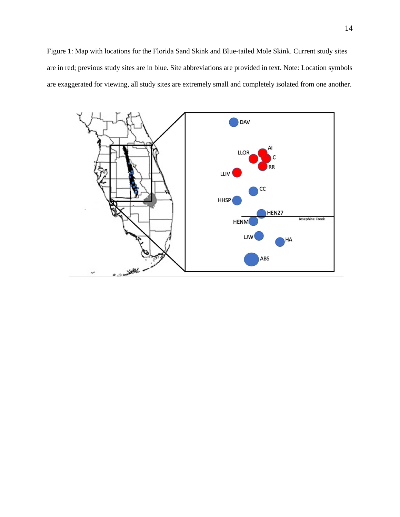Figure 1: Map with locations for the Florida Sand Skink and Blue-tailed Mole Skink. Current study sites are in red; previous study sites are in blue. Site abbreviations are provided in text. Note: Location symbols are exaggerated for viewing, all study sites are extremely small and completely isolated from one another.

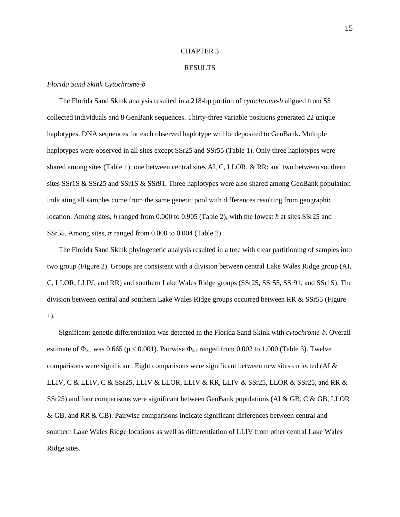#### CHAPTER 3

#### RESULTS

#### *Florida Sand Skink Cytochrome-b*

The Florida Sand Skink analysis resulted in a 218-bp portion of *cytochrome-b* aligned from 55 collected individuals and 8 GenBank sequences. Thirty-three variable positions generated 22 unique haplotypes. DNA sequences for each observed haplotype will be deposited to GenBank**.** Multiple haplotypes were observed in all sites except SSr25 and SSr55 (Table 1). Only three haplotypes were shared among sites (Table 1); one between central sites AI, C, LLOR, & RR; and two between southern sites SSr1S & SSr25 and SSr1S & SSr91. Three haplotypes were also shared among GenBank population indicating all samples come from the same genetic pool with differences resulting from geographic location. Among sites, *h* ranged from 0.000 to 0.905 (Table 2), with the lowest *h* at sites SSr25 and SSr55. Among sites,  $\pi$  ranged from 0.000 to 0.004 (Table 2).

The Florida Sand Skink phylogenetic analysis resulted in a tree with clear partitioning of samples into two group (Figure 2). Groups are consistent with a division between central Lake Wales Ridge group (AI, C, LLOR, LLIV, and RR) and southern Lake Wales Ridge groups (SSr25, SSr55, SSr91, and SSr1S). The division between central and southern Lake Wales Ridge groups occurred between RR & SSr55 (Figure 1).

Significant genetic differentiation was detected in the Florida Sand Skink with *cytochrome-b*. Overall estimate of  $\Phi_{ST}$  was 0.665 (p < 0.001). Pairwise  $\Phi_{ST}$  ranged from 0.002 to 1.000 (Table 3). Twelve comparisons were significant. Eight comparisons were significant between new sites collected (AI & LLIV, C & LLIV, C & SSr25, LLIV & LLOR, LLIV & RR, LLIV & SSr25, LLOR & SSr25, and RR & SSr25) and four comparisons were significant between GenBank populations (AI & GB, C & GB, LLOR & GB, and RR & GB). Pairwise comparisons indicate significant differences between central and southern Lake Wales Ridge locations as well as differentiation of LLIV from other central Lake Wales Ridge sites.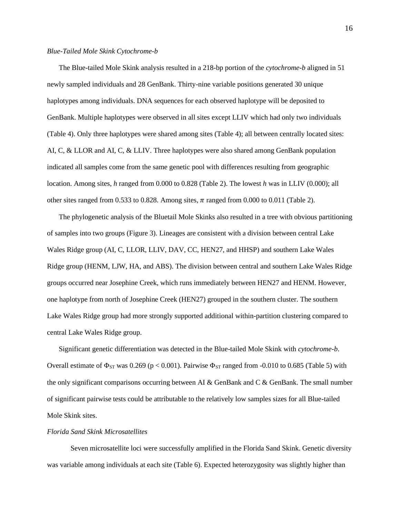#### *Blue-Tailed Mole Skink Cytochrome-b*

The Blue-tailed Mole Skink analysis resulted in a 218-bp portion of the *cytochrome-b* aligned in 51 newly sampled individuals and 28 GenBank. Thirty-nine variable positions generated 30 unique haplotypes among individuals. DNA sequences for each observed haplotype will be deposited to GenBank. Multiple haplotypes were observed in all sites except LLIV which had only two individuals (Table 4). Only three haplotypes were shared among sites (Table 4); all between centrally located sites: AI, C, & LLOR and AI, C, & LLIV. Three haplotypes were also shared among GenBank population indicated all samples come from the same genetic pool with differences resulting from geographic location. Among sites, *h* ranged from 0.000 to 0.828 (Table 2). The lowest *h* was in LLIV (0.000); all other sites ranged from 0.533 to 0.828. Among sites,  $\pi$  ranged from 0.000 to 0.011 (Table 2).

The phylogenetic analysis of the Bluetail Mole Skinks also resulted in a tree with obvious partitioning of samples into two groups (Figure 3). Lineages are consistent with a division between central Lake Wales Ridge group (AI, C, LLOR, LLIV, DAV, CC, HEN27, and HHSP) and southern Lake Wales Ridge group (HENM, LJW, HA, and ABS). The division between central and southern Lake Wales Ridge groups occurred near Josephine Creek, which runs immediately between HEN27 and HENM. However, one haplotype from north of Josephine Creek (HEN27) grouped in the southern cluster. The southern Lake Wales Ridge group had more strongly supported additional within-partition clustering compared to central Lake Wales Ridge group.

Significant genetic differentiation was detected in the Blue-tailed Mole Skink with *cytochrome-b*. Overall estimate of  $\Phi_{ST}$  was 0.269 (p < 0.001). Pairwise  $\Phi_{ST}$  ranged from -0.010 to 0.685 (Table 5) with the only significant comparisons occurring between AI & GenBank and C & GenBank. The small number of significant pairwise tests could be attributable to the relatively low samples sizes for all Blue-tailed Mole Skink sites.

#### *Florida Sand Skink Microsatellites*

Seven microsatellite loci were successfully amplified in the Florida Sand Skink. Genetic diversity was variable among individuals at each site (Table 6). Expected heterozygosity was slightly higher than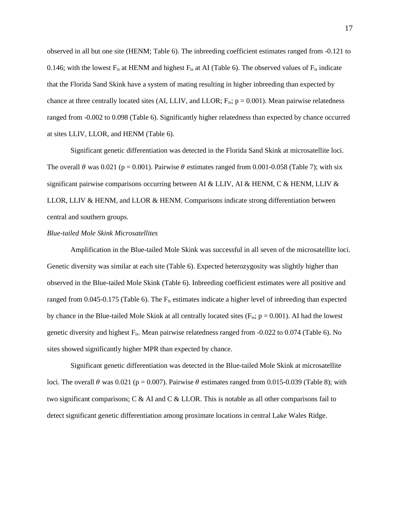observed in all but one site (HENM; Table 6). The inbreeding coefficient estimates ranged from -0.121 to 0.146; with the lowest  $F_{is}$  at HENM and highest  $F_{is}$  at AI (Table 6). The observed values of  $F_{is}$  indicate that the Florida Sand Skink have a system of mating resulting in higher inbreeding than expected by chance at three centrally located sites (AI, LLIV, and LLOR;  $F_{is}$ ;  $p = 0.001$ ). Mean pairwise relatedness ranged from -0.002 to 0.098 (Table 6). Significantly higher relatedness than expected by chance occurred at sites LLIV, LLOR, and HENM (Table 6).

Significant genetic differentiation was detected in the Florida Sand Skink at microsatellite loci. The overall  $\theta$  was 0.021 (p = 0.001). Pairwise  $\theta$  estimates ranged from 0.001-0.058 (Table 7); with six significant pairwise comparisons occurring between AI & LLIV, AI & HENM, C & HENM, LLIV & LLOR, LLIV & HENM, and LLOR & HENM. Comparisons indicate strong differentiation between central and southern groups.

#### *Blue-tailed Mole Skink Microsatellites*

Amplification in the Blue-tailed Mole Skink was successful in all seven of the microsatellite loci. Genetic diversity was similar at each site (Table 6). Expected heterozygosity was slightly higher than observed in the Blue-tailed Mole Skink (Table 6). Inbreeding coefficient estimates were all positive and ranged from 0.045-0.175 (Table 6). The Fis estimates indicate a higher level of inbreeding than expected by chance in the Blue-tailed Mole Skink at all centrally located sites ( $F_{is}$ ;  $p = 0.001$ ). AI had the lowest genetic diversity and highest Fis. Mean pairwise relatedness ranged from -0.022 to 0.074 (Table 6). No sites showed significantly higher MPR than expected by chance.

Significant genetic differentiation was detected in the Blue-tailed Mole Skink at microsatellite loci. The overall  $\theta$  was 0.021 (p = 0.007). Pairwise  $\theta$  estimates ranged from 0.015-0.039 (Table 8); with two significant comparisons; C & AI and C & LLOR. This is notable as all other comparisons fail to detect significant genetic differentiation among proximate locations in central Lake Wales Ridge.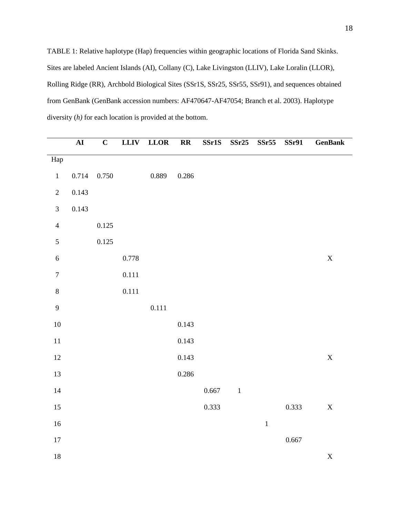TABLE 1: Relative haplotype (Hap) frequencies within geographic locations of Florida Sand Skinks. Sites are labeled Ancient Islands (AI), Collany (C), Lake Livingston (LLIV), Lake Loralin (LLOR), Rolling Ridge (RR), Archbold Biological Sites (SSr1S, SSr25, SSr55, SSr91), and sequences obtained from GenBank (GenBank accession numbers: AF470647-AF47054; Branch et al. 2003). Haplotype diversity (*h)* for each location is provided at the bottom.

|                  | $\overline{\mathbf{A}\mathbf{I}}$ | $\mathbf C$ | LLIV      | <b>LLOR</b> | $\mathbf{R}\mathbf{R}$ | SSr1S | SSr25   | SSr55   | <b>SSr91</b> | <b>GenBank</b> |
|------------------|-----------------------------------|-------------|-----------|-------------|------------------------|-------|---------|---------|--------------|----------------|
| ${\rm Hap}$      |                                   |             |           |             |                        |       |         |         |              |                |
| $\,1\,$          | 0.714                             | $0.750\,$   |           | 0.889       | 0.286                  |       |         |         |              |                |
| $\sqrt{2}$       | 0.143                             |             |           |             |                        |       |         |         |              |                |
| $\mathfrak{Z}$   | 0.143                             |             |           |             |                        |       |         |         |              |                |
| $\overline{4}$   |                                   | 0.125       |           |             |                        |       |         |         |              |                |
| $\sqrt{5}$       |                                   | 0.125       |           |             |                        |       |         |         |              |                |
| $\sqrt{6}$       |                                   |             | 0.778     |             |                        |       |         |         |              | $\mathbf X$    |
| $\boldsymbol{7}$ |                                   |             | $0.111\,$ |             |                        |       |         |         |              |                |
| $\,8\,$          |                                   |             | 0.111     |             |                        |       |         |         |              |                |
| $\overline{9}$   |                                   |             |           | 0.111       |                        |       |         |         |              |                |
| $10\,$           |                                   |             |           |             | 0.143                  |       |         |         |              |                |
| $11\,$           |                                   |             |           |             | 0.143                  |       |         |         |              |                |
| $12\,$           |                                   |             |           |             | 0.143                  |       |         |         |              | $\mathbf X$    |
| 13               |                                   |             |           |             | 0.286                  |       |         |         |              |                |
| 14               |                                   |             |           |             |                        | 0.667 | $\,1\,$ |         |              |                |
| $15\,$           |                                   |             |           |             |                        | 0.333 |         |         | 0.333        | $\mathbf X$    |
| $16\,$           |                                   |             |           |             |                        |       |         | $\,1\,$ |              |                |
| $17\,$           |                                   |             |           |             |                        |       |         |         | 0.667        |                |
| $18\,$           |                                   |             |           |             |                        |       |         |         |              | $\mathbf X$    |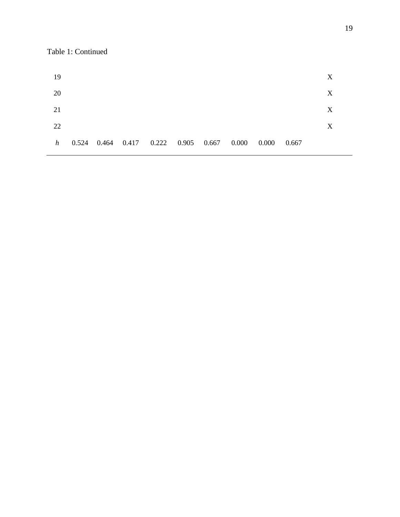Table 1: Continued

| 19 |  |                                           |  |  |       |       | X |
|----|--|-------------------------------------------|--|--|-------|-------|---|
| 20 |  |                                           |  |  |       |       | X |
| 21 |  |                                           |  |  |       |       | X |
| 22 |  |                                           |  |  |       |       | X |
| h  |  | 0.524 0.464 0.417 0.222 0.905 0.667 0.000 |  |  | 0.000 | 0.667 |   |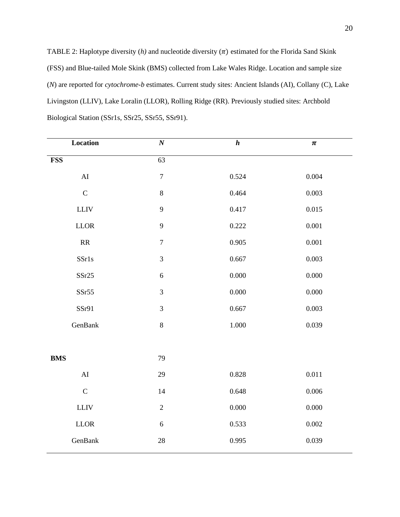TABLE 2: Haplotype diversity  $(h)$  and nucleotide diversity  $(\pi)$  estimated for the Florida Sand Skink (FSS) and Blue-tailed Mole Skink (BMS) collected from Lake Wales Ridge. Location and sample size (*N*) are reported for *cytochrome-b* estimates. Current study sites: Ancient Islands (AI), Collany (C), Lake Livingston (LLIV), Lake Loralin (LLOR), Rolling Ridge (RR). Previously studied sites: Archbold Biological Station (SSr1s, SSr25, SSr55, SSr91).

| Location                          | $\overline{N}$   | $\boldsymbol{h}$ | $\pmb{\pi}$ |
|-----------------------------------|------------------|------------------|-------------|
| <b>FSS</b>                        | $\overline{63}$  |                  |             |
| ${\rm AI}$                        | $\boldsymbol{7}$ | 0.524            | 0.004       |
| $\mathbf C$                       | $\,8\,$          | 0.464            | 0.003       |
| ${\rm LLIV}$                      | $\mathbf{9}$     | 0.417            | 0.015       |
| $LLOR$                            | 9                | 0.222            | 0.001       |
| $\ensuremath{\mathsf{RR}}\xspace$ | $\boldsymbol{7}$ | 0.905            | 0.001       |
| SSr1s                             | $\mathfrak{Z}$   | 0.667            | 0.003       |
| SST25                             | $\sqrt{6}$       | 0.000            | 0.000       |
| SSr55                             | $\mathfrak{Z}$   | 0.000            | 0.000       |
| SSr91                             | $\mathfrak{Z}$   | 0.667            | 0.003       |
| GenBank                           | $\,8\,$          | $1.000\,$        | 0.039       |
|                                   |                  |                  |             |
| <b>BMS</b>                        | 79               |                  |             |
| ${\rm AI}$                        | 29               | 0.828            | 0.011       |
| $\mathbf C$                       | 14               | 0.648            | 0.006       |
| ${\rm LLIV}$                      | $\sqrt{2}$       | 0.000            | 0.000       |
| $LLOR$                            | $\sqrt{6}$       | 0.533            | 0.002       |
| GenBank                           | 28               | 0.995            | 0.039       |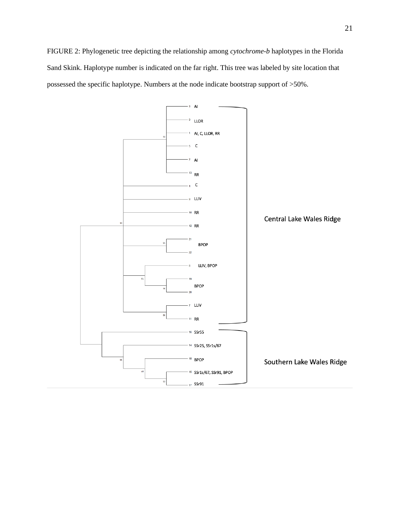FIGURE 2: Phylogenetic tree depicting the relationship among *cytochrome-b* haplotypes in the Florida Sand Skink. Haplotype number is indicated on the far right. This tree was labeled by site location that possessed the specific haplotype. Numbers at the node indicate bootstrap support of >50%.

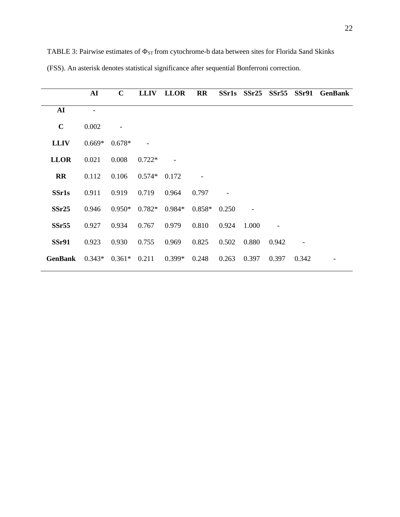|                        | ${\bf AI}$ | $\mathbf C$ | <b>LLIV</b> | <b>LLOR</b> | <b>RR</b> | <b>SSr1s</b> | $S\$ Sr25 | SSr <sub>55</sub> | $S$ Sr $91$ | <b>GenBank</b> |
|------------------------|------------|-------------|-------------|-------------|-----------|--------------|-----------|-------------------|-------------|----------------|
| AI                     |            |             |             |             |           |              |           |                   |             |                |
| $\mathbf C$            | 0.002      |             |             |             |           |              |           |                   |             |                |
| <b>LLIV</b>            | $0.669*$   | $0.678*$    |             |             |           |              |           |                   |             |                |
| <b>LLOR</b>            | 0.021      | 0.008       | $0.722*$    |             |           |              |           |                   |             |                |
| $\mathbf{R}\mathbf{R}$ | 0.112      | 0.106       | $0.574*$    | 0.172       |           |              |           |                   |             |                |
| <b>SSr1s</b>           | 0.911      | 0.919       | 0.719       | 0.964       | 0.797     |              |           |                   |             |                |
| SSr25                  | 0.946      | $0.950*$    | $0.782*$    | 0.984*      | $0.858*$  | 0.250        |           |                   |             |                |
| SSr <sub>55</sub>      | 0.927      | 0.934       | 0.767       | 0.979       | 0.810     | 0.924        | 1.000     |                   |             |                |
| <b>SSr91</b>           | 0.923      | 0.930       | 0.755       | 0.969       | 0.825     | 0.502        | 0.880     | 0.942             |             |                |
| <b>GenBank</b>         | $0.343*$   | $0.361*$    | 0.211       | $0.399*$    | 0.248     | 0.263        | 0.397     | 0.397             | 0.342       |                |

TABLE 3: Pairwise estimates of  $\Phi_{ST}$  from cytochrome-b data between sites for Florida Sand Skinks (FSS). An asterisk denotes statistical significance after sequential Bonferroni correction.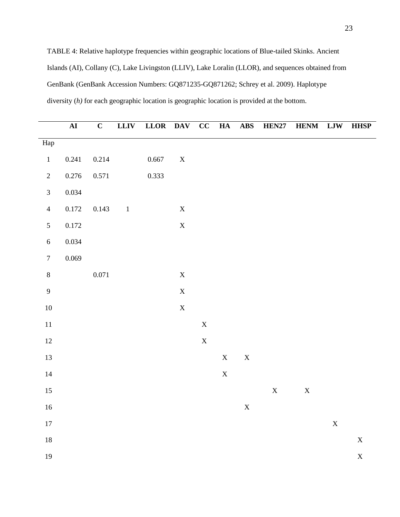TABLE 4: Relative haplotype frequencies within geographic locations of Blue-tailed Skinks. Ancient Islands (AI), Collany (C), Lake Livingston (LLIV), Lake Loralin (LLOR), and sequences obtained from GenBank (GenBank Accession Numbers: GQ871235-GQ871262; Schrey et al. 2009). Haplotype diversity (*h)* for each geographic location is geographic location is provided at the bottom.

|                  | ${\bf AI}$ | $\mathbf C$ | <b>LLIV</b>              | LLOR DAV CC HA |             |             |             | <b>ABS</b>  | <b>HEN27</b> | <b>HENM LJW HHSP</b> |             |                       |
|------------------|------------|-------------|--------------------------|----------------|-------------|-------------|-------------|-------------|--------------|----------------------|-------------|-----------------------|
| Hap              |            |             |                          |                |             |             |             |             |              |                      |             |                       |
| $\,1$            | 0.241      | 0.214       |                          | 0.667          | $\mathbf X$ |             |             |             |              |                      |             |                       |
| $\sqrt{2}$       | $0.276\,$  | 0.571       |                          | 0.333          |             |             |             |             |              |                      |             |                       |
| $\mathfrak{Z}$   | 0.034      |             |                          |                |             |             |             |             |              |                      |             |                       |
| $\overline{4}$   | $0.172\,$  | 0.143       | $\overline{\phantom{a}}$ |                | $\mathbf X$ |             |             |             |              |                      |             |                       |
| $\mathfrak{S}$   | 0.172      |             |                          |                | $\mathbf X$ |             |             |             |              |                      |             |                       |
| $\sqrt{6}$       | 0.034      |             |                          |                |             |             |             |             |              |                      |             |                       |
| $\boldsymbol{7}$ | 0.069      |             |                          |                |             |             |             |             |              |                      |             |                       |
| $\bf 8$          |            | $0.071\,$   |                          |                | $\mathbf X$ |             |             |             |              |                      |             |                       |
| $\overline{9}$   |            |             |                          |                | $\mathbf X$ |             |             |             |              |                      |             |                       |
| $10\,$           |            |             |                          |                | $\mathbf X$ |             |             |             |              |                      |             |                       |
| $11\,$           |            |             |                          |                |             | $\mathbf X$ |             |             |              |                      |             |                       |
| $12\,$           |            |             |                          |                |             | $\mathbf X$ |             |             |              |                      |             |                       |
| 13               |            |             |                          |                |             |             | $\mathbf X$ | $\mathbf X$ |              |                      |             |                       |
| $14\,$           |            |             |                          |                |             |             | $\mathbf X$ |             |              |                      |             |                       |
| 15               |            |             |                          |                |             |             |             |             | $\mathbf X$  | $\mathbf X$          |             |                       |
| $16\,$           |            |             |                          |                |             |             |             | $\mathbf X$ |              |                      |             |                       |
| $17\,$           |            |             |                          |                |             |             |             |             |              |                      | $\mathbf X$ |                       |
| $18\,$           |            |             |                          |                |             |             |             |             |              |                      |             | $\mathbf X$           |
| 19               |            |             |                          |                |             |             |             |             |              |                      |             | $\overline{\text{X}}$ |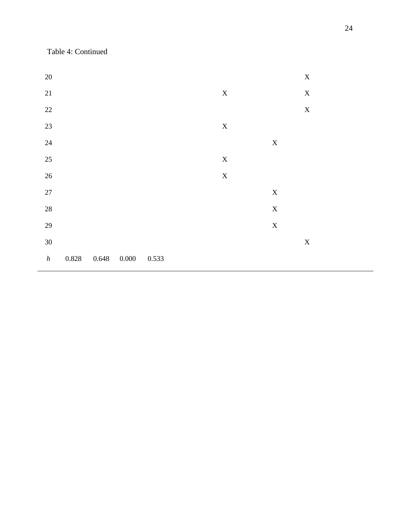Table 4: Continued

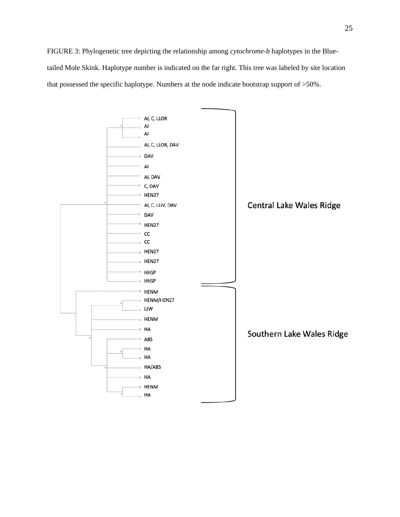FIGURE 3: Phylogenetic tree depicting the relationship among *cytochrome-b* haplotypes in the Bluetailed Mole Skink. Haplotype number is indicated on the far right. This tree was labeled by site location that possessed the specific haplotype. Numbers at the node indicate bootstrap support of >50%.

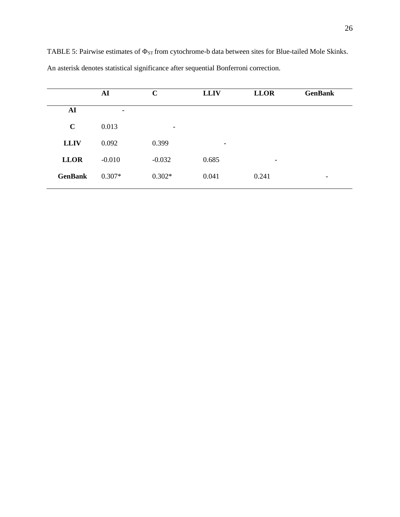|                | ${\bf AI}$               | $\mathbf C$ | <b>LLIV</b>              | <b>LLOR</b> | <b>GenBank</b>           |
|----------------|--------------------------|-------------|--------------------------|-------------|--------------------------|
| ${\bf AI}$     | $\overline{\phantom{a}}$ |             |                          |             |                          |
| $\mathbf C$    | 0.013                    | -           |                          |             |                          |
| <b>LLIV</b>    | 0.092                    | 0.399       | $\overline{\phantom{a}}$ |             |                          |
| <b>LLOR</b>    | $-0.010$                 | $-0.032$    | 0.685                    | -           |                          |
| <b>GenBank</b> | $0.307*$                 | $0.302*$    | 0.041                    | 0.241       | $\overline{\phantom{a}}$ |

TABLE 5: Pairwise estimates of  $\Phi_{ST}$  from cytochrome-b data between sites for Blue-tailed Mole Skinks. An asterisk denotes statistical significance after sequential Bonferroni correction.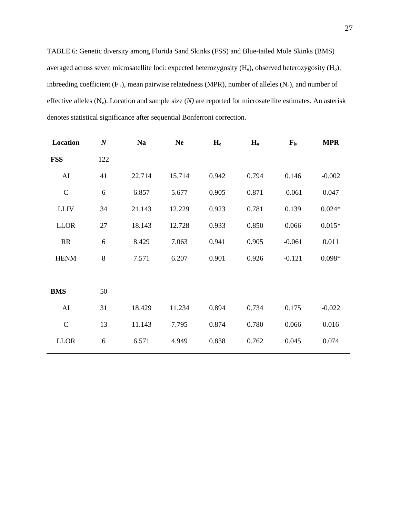TABLE 6: Genetic diversity among Florida Sand Skinks (FSS) and Blue-tailed Mole Skinks (BMS) averaged across seven microsatellite loci: expected heterozygosity (H<sub>e</sub>), observed heterozygosity (H<sub>o</sub>), inbreeding coefficient  $(F_{is})$ , mean pairwise relatedness (MPR), number of alleles  $(N_a)$ , and number of effective alleles (Ne). Location and sample size (*N)* are reported for microsatellite estimates. An asterisk denotes statistical significance after sequential Bonferroni correction.

| Location      | $\boldsymbol{N}$ | <b>Na</b> | <b>Ne</b> | $H_e$ | $H_0$ | $\mathbf{F}_{\rm is}$ | <b>MPR</b> |
|---------------|------------------|-----------|-----------|-------|-------|-----------------------|------------|
| <b>FSS</b>    | 122              |           |           |       |       |                       |            |
| AI            | 41               | 22.714    | 15.714    | 0.942 | 0.794 | 0.146                 | $-0.002$   |
| $\mathcal{C}$ | 6                | 6.857     | 5.677     | 0.905 | 0.871 | $-0.061$              | 0.047      |
| <b>LLIV</b>   | 34               | 21.143    | 12.229    | 0.923 | 0.781 | 0.139                 | $0.024*$   |
| <b>LLOR</b>   | 27               | 18.143    | 12.728    | 0.933 | 0.850 | 0.066                 | $0.015*$   |
| RR            | 6                | 8.429     | 7.063     | 0.941 | 0.905 | $-0.061$              | 0.011      |
| <b>HENM</b>   | 8                | 7.571     | 6.207     | 0.901 | 0.926 | $-0.121$              | $0.098*$   |
|               |                  |           |           |       |       |                       |            |
| <b>BMS</b>    | 50               |           |           |       |       |                       |            |
| AI            | 31               | 18.429    | 11.234    | 0.894 | 0.734 | 0.175                 | $-0.022$   |
| $\mathcal{C}$ | 13               | 11.143    | 7.795     | 0.874 | 0.780 | 0.066                 | 0.016      |
| <b>LLOR</b>   | 6                | 6.571     | 4.949     | 0.838 | 0.762 | 0.045                 | 0.074      |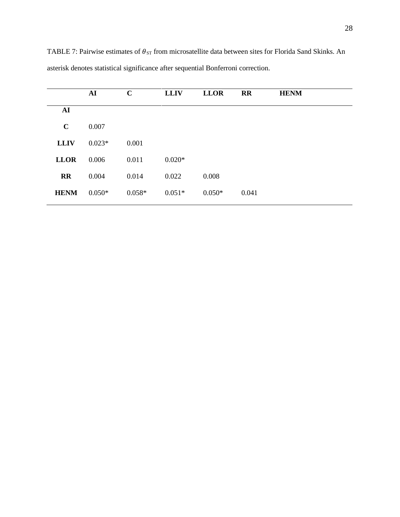|             | AI       | $\mathbf C$ | <b>LLIV</b> | <b>LLOR</b> | <b>RR</b> | <b>HENM</b> |
|-------------|----------|-------------|-------------|-------------|-----------|-------------|
| AI          |          |             |             |             |           |             |
| $\mathbf C$ | 0.007    |             |             |             |           |             |
| <b>LLIV</b> | $0.023*$ | 0.001       |             |             |           |             |
| <b>LLOR</b> | 0.006    | 0.011       | $0.020*$    |             |           |             |
| <b>RR</b>   | 0.004    | 0.014       | 0.022       | 0.008       |           |             |
| <b>HENM</b> | $0.050*$ | $0.058*$    | $0.051*$    | $0.050*$    | 0.041     |             |
|             |          |             |             |             |           |             |

TABLE 7: Pairwise estimates of  $\theta_{ST}$  from microsatellite data between sites for Florida Sand Skinks. An asterisk denotes statistical significance after sequential Bonferroni correction.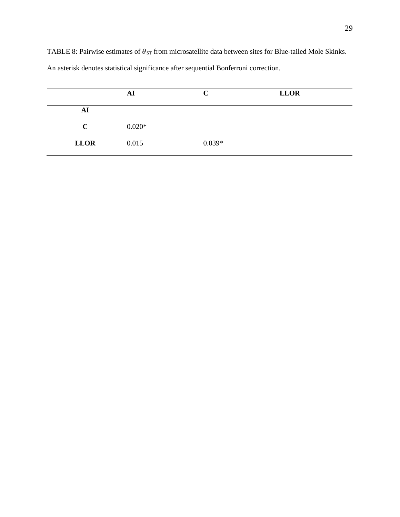TABLE 8: Pairwise estimates of  $\theta_{ST}$  from microsatellite data between sites for Blue-tailed Mole Skinks.

|             | AI       | C        | <b>LLOR</b> |  |
|-------------|----------|----------|-------------|--|
| AI          |          |          |             |  |
| $\mathbf C$ | $0.020*$ |          |             |  |
| <b>LLOR</b> | 0.015    | $0.039*$ |             |  |

An asterisk denotes statistical significance after sequential Bonferroni correction.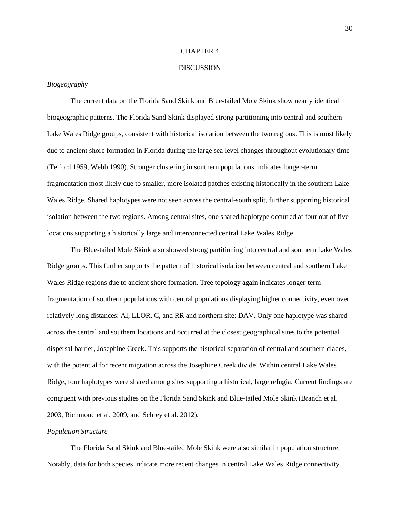#### CHAPTER 4

#### DISCUSSION

#### *Biogeography*

The current data on the Florida Sand Skink and Blue-tailed Mole Skink show nearly identical biogeographic patterns. The Florida Sand Skink displayed strong partitioning into central and southern Lake Wales Ridge groups, consistent with historical isolation between the two regions. This is most likely due to ancient shore formation in Florida during the large sea level changes throughout evolutionary time (Telford 1959, Webb 1990). Stronger clustering in southern populations indicates longer-term fragmentation most likely due to smaller, more isolated patches existing historically in the southern Lake Wales Ridge. Shared haplotypes were not seen across the central-south split, further supporting historical isolation between the two regions. Among central sites, one shared haplotype occurred at four out of five locations supporting a historically large and interconnected central Lake Wales Ridge.

The Blue-tailed Mole Skink also showed strong partitioning into central and southern Lake Wales Ridge groups. This further supports the pattern of historical isolation between central and southern Lake Wales Ridge regions due to ancient shore formation. Tree topology again indicates longer-term fragmentation of southern populations with central populations displaying higher connectivity, even over relatively long distances: AI, LLOR, C, and RR and northern site: DAV. Only one haplotype was shared across the central and southern locations and occurred at the closest geographical sites to the potential dispersal barrier, Josephine Creek. This supports the historical separation of central and southern clades, with the potential for recent migration across the Josephine Creek divide. Within central Lake Wales Ridge, four haplotypes were shared among sites supporting a historical, large refugia. Current findings are congruent with previous studies on the Florida Sand Skink and Blue-tailed Mole Skink (Branch et al. 2003, Richmond et al. 2009, and Schrey et al. 2012).

#### *Population Structure*

The Florida Sand Skink and Blue-tailed Mole Skink were also similar in population structure. Notably, data for both species indicate more recent changes in central Lake Wales Ridge connectivity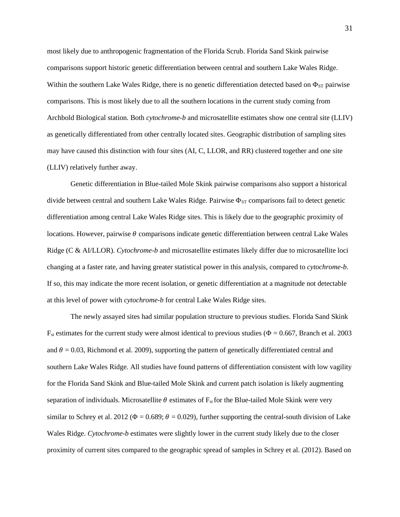most likely due to anthropogenic fragmentation of the Florida Scrub. Florida Sand Skink pairwise comparisons support historic genetic differentiation between central and southern Lake Wales Ridge. Within the southern Lake Wales Ridge, there is no genetic differentiation detected based on  $\Phi_{ST}$  pairwise comparisons. This is most likely due to all the southern locations in the current study coming from Archbold Biological station. Both *cytochrome-b* and microsatellite estimates show one central site (LLIV) as genetically differentiated from other centrally located sites. Geographic distribution of sampling sites may have caused this distinction with four sites (AI, C, LLOR, and RR) clustered together and one site (LLIV) relatively further away.

Genetic differentiation in Blue-tailed Mole Skink pairwise comparisons also support a historical divide between central and southern Lake Wales Ridge. Pairwise  $\Phi_{ST}$  comparisons fail to detect genetic differentiation among central Lake Wales Ridge sites. This is likely due to the geographic proximity of locations. However, pairwise  $\theta$  comparisons indicate genetic differentiation between central Lake Wales Ridge (C & AI/LLOR). *Cytochrome-b* and microsatellite estimates likely differ due to microsatellite loci changing at a faster rate, and having greater statistical power in this analysis, compared to *cytochrome-b*. If so, this may indicate the more recent isolation, or genetic differentiation at a magnitude not detectable at this level of power with *cytochrome-b* for central Lake Wales Ridge sites.

The newly assayed sites had similar population structure to previous studies. Florida Sand Skink  $F_{st}$  estimates for the current study were almost identical to previous studies ( $\Phi = 0.667$ , Branch et al. 2003 and  $\theta = 0.03$ , Richmond et al. 2009), supporting the pattern of genetically differentiated central and southern Lake Wales Ridge. All studies have found patterns of differentiation consistent with low vagility for the Florida Sand Skink and Blue-tailed Mole Skink and current patch isolation is likely augmenting separation of individuals. Microsatellite  $\theta$  estimates of  $F_{st}$  for the Blue-tailed Mole Skink were very similar to Schrey et al. 2012 ( $\Phi = 0.689$ ;  $\theta = 0.029$ ), further supporting the central-south division of Lake Wales Ridge. *Cytochrome-b* estimates were slightly lower in the current study likely due to the closer proximity of current sites compared to the geographic spread of samples in Schrey et al. (2012). Based on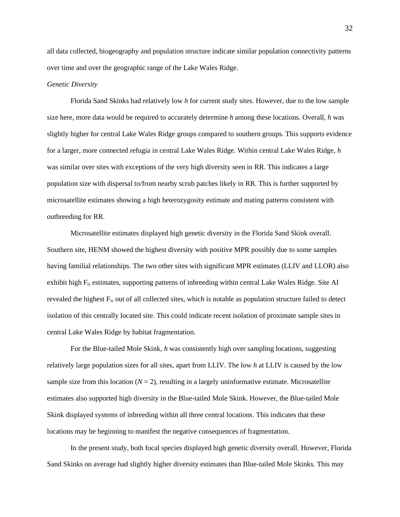all data collected, biogeography and population structure indicate similar population connectivity patterns over time and over the geographic range of the Lake Wales Ridge.

#### *Genetic Diversity*

Florida Sand Skinks had relatively low *h* for current study sites. However, due to the low sample size here, more data would be required to accurately determine *h* among these locations. Overall, *h* was slightly higher for central Lake Wales Ridge groups compared to southern groups. This supports evidence for a larger, more connected refugia in central Lake Wales Ridge. Within central Lake Wales Ridge, *h* was similar over sites with exceptions of the very high diversity seen in RR. This indicates a large population size with dispersal to/from nearby scrub patches likely in RR. This is further supported by microsatellite estimates showing a high heterozygosity estimate and mating patterns consistent with outbreeding for RR.

Microsatellite estimates displayed high genetic diversity in the Florida Sand Skink overall. Southern site, HENM showed the highest diversity with positive MPR possibly due to some samples having familial relationships. The two other sites with significant MPR estimates (LLIV and LLOR) also exhibit high Fis estimates, supporting patterns of inbreeding within central Lake Wales Ridge. Site AI revealed the highest Fis out of all collected sites, which is notable as population structure failed to detect isolation of this centrally located site. This could indicate recent isolation of proximate sample sites in central Lake Wales Ridge by habitat fragmentation.

For the Blue-tailed Mole Skink, *h* was consistently high over sampling locations, suggesting relatively large population sizes for all sites, apart from LLIV. The low *h* at LLIV is caused by the low sample size from this location  $(N = 2)$ , resulting in a largely uninformative estimate. Microsatellite estimates also supported high diversity in the Blue-tailed Mole Skink. However, the Blue-tailed Mole Skink displayed systems of inbreeding within all three central locations. This indicates that these locations may be beginning to manifest the negative consequences of fragmentation.

In the present study, both focal species displayed high genetic diversity overall. However, Florida Sand Skinks on average had slightly higher diversity estimates than Blue-tailed Mole Skinks. This may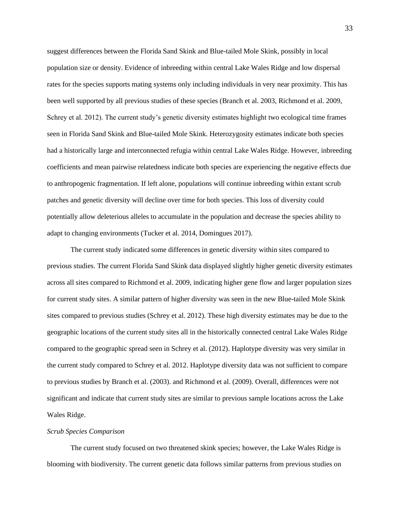suggest differences between the Florida Sand Skink and Blue-tailed Mole Skink, possibly in local population size or density. Evidence of inbreeding within central Lake Wales Ridge and low dispersal rates for the species supports mating systems only including individuals in very near proximity. This has been well supported by all previous studies of these species (Branch et al. 2003, Richmond et al. 2009, Schrey et al. 2012). The current study's genetic diversity estimates highlight two ecological time frames seen in Florida Sand Skink and Blue-tailed Mole Skink. Heterozygosity estimates indicate both species had a historically large and interconnected refugia within central Lake Wales Ridge. However, inbreeding coefficients and mean pairwise relatedness indicate both species are experiencing the negative effects due to anthropogenic fragmentation. If left alone, populations will continue inbreeding within extant scrub patches and genetic diversity will decline over time for both species. This loss of diversity could potentially allow deleterious alleles to accumulate in the population and decrease the species ability to adapt to changing environments (Tucker et al. 2014, Domingues 2017).

The current study indicated some differences in genetic diversity within sites compared to previous studies. The current Florida Sand Skink data displayed slightly higher genetic diversity estimates across all sites compared to Richmond et al. 2009, indicating higher gene flow and larger population sizes for current study sites. A similar pattern of higher diversity was seen in the new Blue-tailed Mole Skink sites compared to previous studies (Schrey et al. 2012). These high diversity estimates may be due to the geographic locations of the current study sites all in the historically connected central Lake Wales Ridge compared to the geographic spread seen in Schrey et al. (2012). Haplotype diversity was very similar in the current study compared to Schrey et al. 2012. Haplotype diversity data was not sufficient to compare to previous studies by Branch et al. (2003). and Richmond et al. (2009). Overall, differences were not significant and indicate that current study sites are similar to previous sample locations across the Lake Wales Ridge.

#### *Scrub Species Comparison*

The current study focused on two threatened skink species; however, the Lake Wales Ridge is blooming with biodiversity. The current genetic data follows similar patterns from previous studies on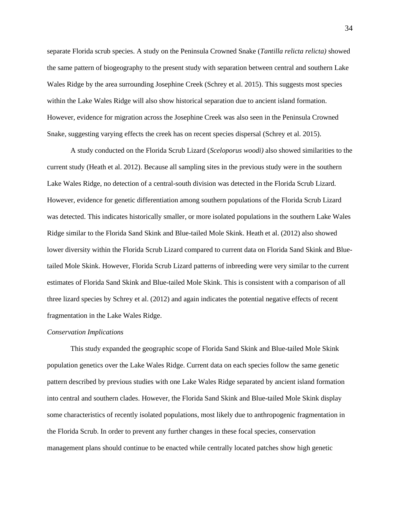separate Florida scrub species. A study on the Peninsula Crowned Snake (*Tantilla relicta relicta)* showed the same pattern of biogeography to the present study with separation between central and southern Lake Wales Ridge by the area surrounding Josephine Creek (Schrey et al. 2015). This suggests most species within the Lake Wales Ridge will also show historical separation due to ancient island formation. However, evidence for migration across the Josephine Creek was also seen in the Peninsula Crowned Snake, suggesting varying effects the creek has on recent species dispersal (Schrey et al. 2015).

A study conducted on the Florida Scrub Lizard (*Sceloporus woodi)* also showed similarities to the current study (Heath et al. 2012). Because all sampling sites in the previous study were in the southern Lake Wales Ridge, no detection of a central-south division was detected in the Florida Scrub Lizard. However, evidence for genetic differentiation among southern populations of the Florida Scrub Lizard was detected. This indicates historically smaller, or more isolated populations in the southern Lake Wales Ridge similar to the Florida Sand Skink and Blue-tailed Mole Skink. Heath et al. (2012) also showed lower diversity within the Florida Scrub Lizard compared to current data on Florida Sand Skink and Bluetailed Mole Skink. However, Florida Scrub Lizard patterns of inbreeding were very similar to the current estimates of Florida Sand Skink and Blue-tailed Mole Skink. This is consistent with a comparison of all three lizard species by Schrey et al. (2012) and again indicates the potential negative effects of recent fragmentation in the Lake Wales Ridge.

#### *Conservation Implications*

This study expanded the geographic scope of Florida Sand Skink and Blue-tailed Mole Skink population genetics over the Lake Wales Ridge. Current data on each species follow the same genetic pattern described by previous studies with one Lake Wales Ridge separated by ancient island formation into central and southern clades. However, the Florida Sand Skink and Blue-tailed Mole Skink display some characteristics of recently isolated populations, most likely due to anthropogenic fragmentation in the Florida Scrub. In order to prevent any further changes in these focal species, conservation management plans should continue to be enacted while centrally located patches show high genetic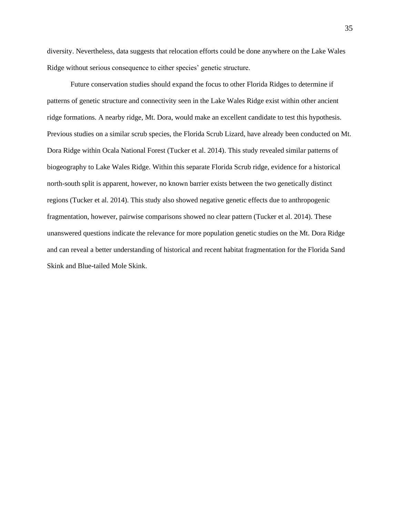diversity. Nevertheless, data suggests that relocation efforts could be done anywhere on the Lake Wales Ridge without serious consequence to either species' genetic structure.

Future conservation studies should expand the focus to other Florida Ridges to determine if patterns of genetic structure and connectivity seen in the Lake Wales Ridge exist within other ancient ridge formations. A nearby ridge, Mt. Dora, would make an excellent candidate to test this hypothesis. Previous studies on a similar scrub species, the Florida Scrub Lizard, have already been conducted on Mt. Dora Ridge within Ocala National Forest (Tucker et al. 2014). This study revealed similar patterns of biogeography to Lake Wales Ridge. Within this separate Florida Scrub ridge, evidence for a historical north-south split is apparent, however, no known barrier exists between the two genetically distinct regions (Tucker et al. 2014). This study also showed negative genetic effects due to anthropogenic fragmentation, however, pairwise comparisons showed no clear pattern (Tucker et al. 2014). These unanswered questions indicate the relevance for more population genetic studies on the Mt. Dora Ridge and can reveal a better understanding of historical and recent habitat fragmentation for the Florida Sand Skink and Blue-tailed Mole Skink.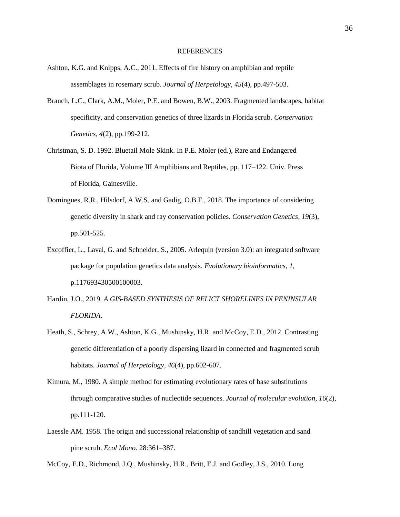#### **REFERENCES**

- Ashton, K.G. and Knipps, A.C., 2011. Effects of fire history on amphibian and reptile assemblages in rosemary scrub. *Journal of Herpetology*, *45*(4), pp.497-503.
- Branch, L.C., Clark, A.M., Moler, P.E. and Bowen, B.W., 2003. Fragmented landscapes, habitat specificity, and conservation genetics of three lizards in Florida scrub. *Conservation Genetics*, *4*(2), pp.199-212.
- Christman, S. D. 1992. Bluetail Mole Skink. In P.E. Moler (ed.), Rare and Endangered Biota of Florida, Volume III Amphibians and Reptiles, pp. 117–122. Univ. Press of Florida, Gainesville.
- Domingues, R.R., Hilsdorf, A.W.S. and Gadig, O.B.F., 2018. The importance of considering genetic diversity in shark and ray conservation policies. *Conservation Genetics*, *19*(3), pp.501-525.
- Excoffier, L., Laval, G. and Schneider, S., 2005. Arlequin (version 3.0): an integrated software package for population genetics data analysis. *Evolutionary bioinformatics*, *1*, p.117693430500100003.
- Hardin, J.O., 2019. *A GIS-BASED SYNTHESIS OF RELICT SHORELINES IN PENINSULAR FLORIDA*.
- Heath, S., Schrey, A.W., Ashton, K.G., Mushinsky, H.R. and McCoy, E.D., 2012. Contrasting genetic differentiation of a poorly dispersing lizard in connected and fragmented scrub habitats. *Journal of Herpetology*, *46*(4), pp.602-607.
- Kimura, M., 1980. A simple method for estimating evolutionary rates of base substitutions through comparative studies of nucleotide sequences. *Journal of molecular evolution*, *16*(2), pp.111-120.
- Laessle AM. 1958. The origin and successional relationship of sandhill vegetation and sand pine scrub. *Ecol Mono*. 28:361–387.

McCoy, E.D., Richmond, J.Q., Mushinsky, H.R., Britt, E.J. and Godley, J.S., 2010. Long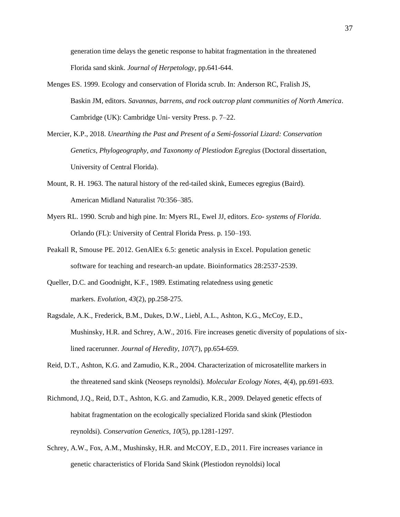generation time delays the genetic response to habitat fragmentation in the threatened Florida sand skink. *Journal of Herpetology*, pp.641-644.

- Menges ES. 1999. Ecology and conservation of Florida scrub. In: Anderson RC, Fralish JS, Baskin JM, editors. *Savannas, barrens, and rock outcrop plant communities of North America*. Cambridge (UK): Cambridge Uni- versity Press. p. 7–22.
- Mercier, K.P., 2018. *Unearthing the Past and Present of a Semi-fossorial Lizard: Conservation Genetics, Phylogeography, and Taxonomy of Plestiodon Egregius* (Doctoral dissertation, University of Central Florida).
- Mount, R. H. 1963. The natural history of the red-tailed skink, Eumeces egregius (Baird). American Midland Naturalist 70:356–385.
- Myers RL. 1990. Scrub and high pine. In: Myers RL, Ewel JJ, editors. *Eco- systems of Florida*. Orlando (FL): University of Central Florida Press. p. 150–193.
- Peakall R, Smouse PE. 2012. GenAlEx 6.5: genetic analysis in Excel. Population genetic software for teaching and research-an update. Bioinformatics 28:2537-2539.
- Queller, D.C. and Goodnight, K.F., 1989. Estimating relatedness using genetic markers. *Evolution*, *43*(2), pp.258-275.
- Ragsdale, A.K., Frederick, B.M., Dukes, D.W., Liebl, A.L., Ashton, K.G., McCoy, E.D., Mushinsky, H.R. and Schrey, A.W., 2016. Fire increases genetic diversity of populations of sixlined racerunner. *Journal of Heredity*, *107*(7), pp.654-659.
- Reid, D.T., Ashton, K.G. and Zamudio, K.R., 2004. Characterization of microsatellite markers in the threatened sand skink (Neoseps reynoldsi). *Molecular Ecology Notes*, *4*(4), pp.691-693.
- Richmond, J.Q., Reid, D.T., Ashton, K.G. and Zamudio, K.R., 2009. Delayed genetic effects of habitat fragmentation on the ecologically specialized Florida sand skink (Plestiodon reynoldsi). *Conservation Genetics*, *10*(5), pp.1281-1297.
- Schrey, A.W., Fox, A.M., Mushinsky, H.R. and McCOY, E.D., 2011. Fire increases variance in genetic characteristics of Florida Sand Skink (Plestiodon reynoldsi) local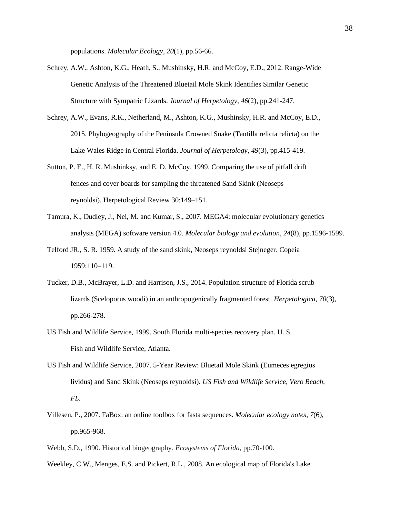populations. *Molecular Ecology*, *20*(1), pp.56-66.

- Schrey, A.W., Ashton, K.G., Heath, S., Mushinsky, H.R. and McCoy, E.D., 2012. Range-Wide Genetic Analysis of the Threatened Bluetail Mole Skink Identifies Similar Genetic Structure with Sympatric Lizards. *Journal of Herpetology*, *46*(2), pp.241-247.
- Schrey, A.W., Evans, R.K., Netherland, M., Ashton, K.G., Mushinsky, H.R. and McCoy, E.D., 2015. Phylogeography of the Peninsula Crowned Snake (Tantilla relicta relicta) on the Lake Wales Ridge in Central Florida. *Journal of Herpetology*, *49*(3), pp.415-419.
- Sutton, P. E., H. R. Mushinksy, and E. D. McCoy, 1999. Comparing the use of pitfall drift fences and cover boards for sampling the threatened Sand Skink (Neoseps reynoldsi). Herpetological Review 30:149–151.
- Tamura, K., Dudley, J., Nei, M. and Kumar, S., 2007. MEGA4: molecular evolutionary genetics analysis (MEGA) software version 4.0. *Molecular biology and evolution*, *24*(8), pp.1596-1599.
- Telford JR., S. R. 1959. A study of the sand skink, Neoseps reynoldsi Stejneger. Copeia 1959:110–119.
- Tucker, D.B., McBrayer, L.D. and Harrison, J.S., 2014. Population structure of Florida scrub lizards (Sceloporus woodi) in an anthropogenically fragmented forest. *Herpetologica*, *70*(3), pp.266-278.
- US Fish and Wildlife Service, 1999. South Florida multi-species recovery plan. U. S. Fish and Wildlife Service, Atlanta.
- US Fish and Wildlife Service, 2007. 5-Year Review: Bluetail Mole Skink (Eumeces egregius lividus) and Sand Skink (Neoseps reynoldsi). *US Fish and Wildlife Service, Vero Beach, FL.*
- Villesen, P., 2007. FaBox: an online toolbox for fasta sequences. *Molecular ecology notes*, *7*(6), pp.965-968.
- Webb, S.D., 1990. Historical biogeography. *Ecosystems of Florida*, pp.70-100.
- Weekley, C.W., Menges, E.S. and Pickert, R.L., 2008. An ecological map of Florida's Lake